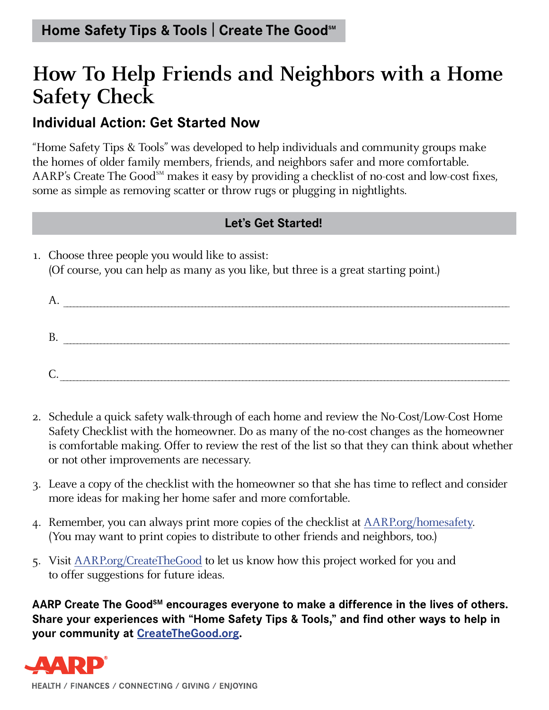## **How To Help Friends and Neighbors with a Home Safety Check**

### **Individual Action: Get Started Now**

"Home Safety Tips & Tools" was developed to help individuals and community groups make the homes of older family members, friends, and neighbors safer and more comfortable. AARP's Create The Good<sup>SM</sup> makes it easy by providing a checklist of no-cost and low-cost fixes, some as simple as removing scatter or throw rugs or plugging in nightlights.

#### **Let's Get Started!**

1. Choose three people you would like to assist: (Of course, you can help as many as you like, but three is a great starting point.)

| ., |  |
|----|--|
|    |  |
|    |  |

- 2. Schedule a quick safety walk-through of each home and review the No-Cost/Low-Cost Home Safety Checklist with the homeowner. Do as many of the no-cost changes as the homeowner is comfortable making. Offer to review the rest of the list so that they can think about whether or not other improvements are necessary.
- 3. Leave a copy of the checklist with the homeowner so that she has time to reflect and consider more ideas for making her home safer and more comfortable.
- 4. Remember, you can always print more copies of the checklist at AARP.org/homesafety. (You may want to print copies to distribute to other friends and neighbors, too.)
- 5. Visit AARP.org/CreateTheGood to let us know how this project worked for you and to offer suggestions for future ideas.

AARP Create The Good<sup>sM</sup> encourages everyone to make a difference in the lives of others. **Share your experiences with "Home Safety Tips & Tools," and find other ways to help in your community at CreateTheGood.org.**



HEALTH / FINANCES / CONNECTING / GIVING / ENJOYING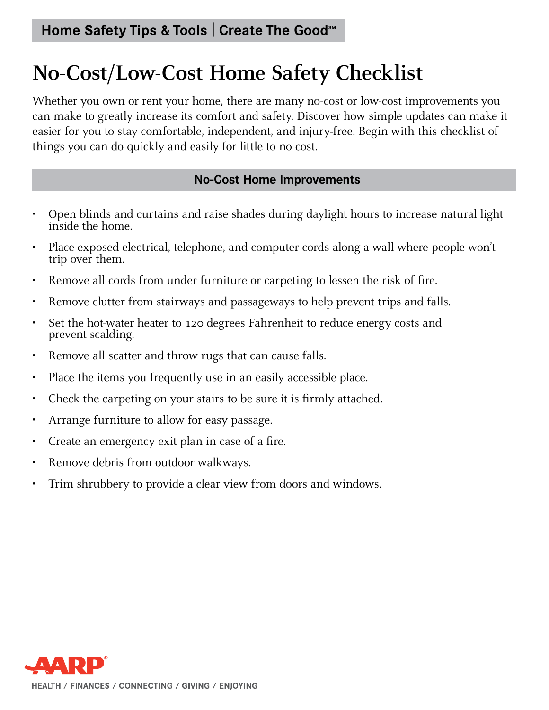# **No-Cost/Low-Cost Home Safety Checklist**

Whether you own or rent your home, there are many no-cost or low-cost improvements you can make to greatly increase its comfort and safety. Discover how simple updates can make it easier for you to stay comfortable, independent, and injury-free. Begin with this checklist of things you can do quickly and easily for little to no cost.

#### **No-Cost Home Improvements**

- Open blinds and curtains and raise shades during daylight hours to increase natural light inside the home.
- Place exposed electrical, telephone, and computer cords along a wall where people won't trip over them.
- Remove all cords from under furniture or carpeting to lessen the risk of fire.
- Remove clutter from stairways and passageways to help prevent trips and falls.
- Set the hot-water heater to 120 degrees Fahrenheit to reduce energy costs and prevent scalding.
- Remove all scatter and throw rugs that can cause falls.
- Place the items you frequently use in an easily accessible place.
- Check the carpeting on your stairs to be sure it is firmly attached.
- Arrange furniture to allow for easy passage.
- Create an emergency exit plan in case of a fire.
- Remove debris from outdoor walkways.
- Trim shrubbery to provide a clear view from doors and windows.

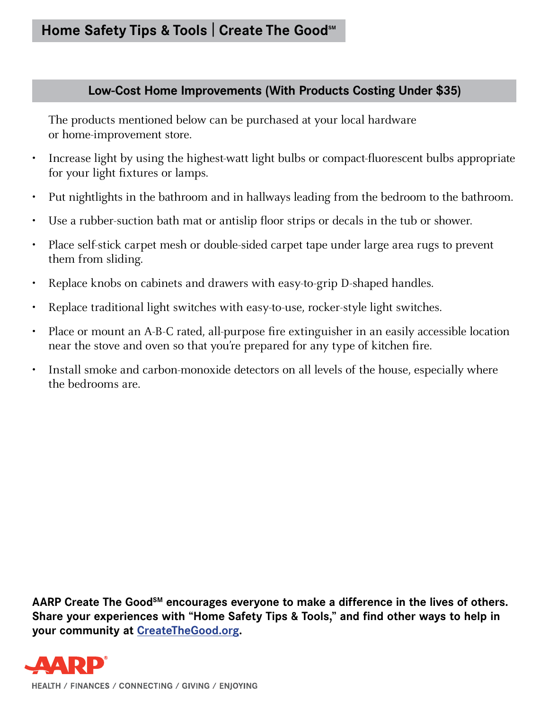#### **Low-Cost Home Improvements (With Products Costing Under \$35)**

The products mentioned below can be purchased at your local hardware or home-improvement store.

- Increase light by using the highest-watt light bulbs or compact-fluorescent bulbs appropriate for your light fixtures or lamps.
- Put nightlights in the bathroom and in hallways leading from the bedroom to the bathroom.
- Use a rubber-suction bath mat or antislip floor strips or decals in the tub or shower.
- Place self-stick carpet mesh or double-sided carpet tape under large area rugs to prevent them from sliding.
- Replace knobs on cabinets and drawers with easy-to-grip D-shaped handles.
- Replace traditional light switches with easy-to-use, rocker-style light switches.
- Place or mount an A-B-C rated, all-purpose fire extinguisher in an easily accessible location near the stove and oven so that you're prepared for any type of kitchen fire.
- Install smoke and carbon-monoxide detectors on all levels of the house, especially where the bedrooms are.

AARP Create The Good<sup>sM</sup> encourages everyone to make a difference in the lives of others. **Share your experiences with "Home Safety Tips & Tools," and find other ways to help in your community at CreateTheGood.org.**



HEALTH / FINANCES / CONNECTING / GIVING / ENJOYING